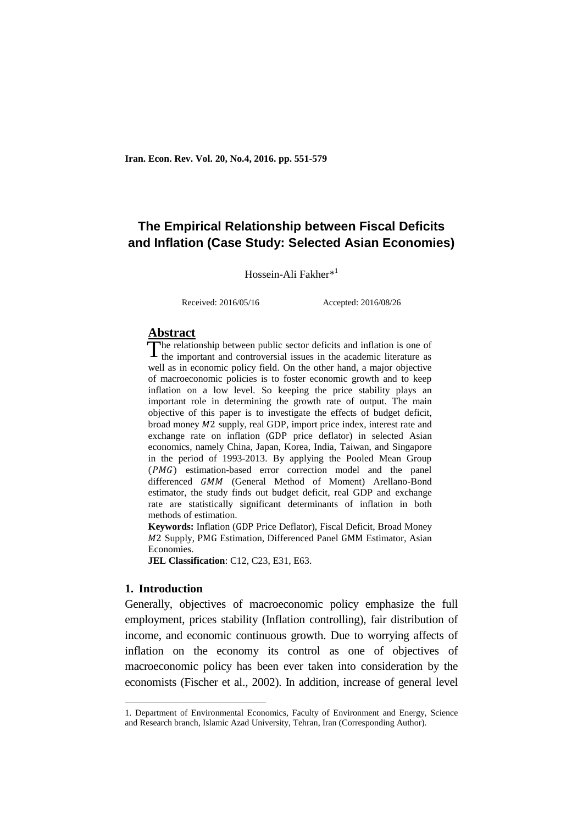# **The Empirical Relationship between Fiscal Deficits and Inflation (Case Study: Selected Asian Economies)**

Hossein-Ali Fakher\*<sup>1</sup>

Received: 2016/05/16 Accepted: 2016/08/26

# **Abstract**

he relationship between public sector deficits and inflation is one of The relationship between public sector deficits and inflation is one of the important and controversial issues in the academic literature as well as in economic policy field. On the other hand, a major objective of macroeconomic policies is to foster economic growth and to keep inflation on a low level. So keeping the price stability plays an important role in determining the growth rate of output. The main objective of this paper is to investigate the effects of budget deficit, broad money  $M2$  supply, real GDP, import price index, interest rate and exchange rate on inflation (GDP price deflator) in selected Asian economics, namely China, Japan, Korea, India, Taiwan, and Singapore in the period of 1993-2013. By applying the Pooled Mean Group  $(PMG)$  estimation-based error correction model and the panel differenced GMM (General Method of Moment) Arellano-Bond estimator, the study finds out budget deficit, real GDP and exchange rate are statistically significant determinants of inflation in both methods of estimation.

**Keywords:** Inflation (GDP Price Deflator), Fiscal Deficit, Broad Money M2 Supply, PMG Estimation, Differenced Panel GMM Estimator, Asian Economies.

**JEL Classification**: C12, C23, E31, E63.

# **1. Introduction**

**.** 

Generally, objectives of macroeconomic policy emphasize the full employment, prices stability (Inflation controlling), fair distribution of income, and economic continuous growth. Due to worrying affects of inflation on the economy its control as one of objectives of macroeconomic policy has been ever taken into consideration by the economists (Fischer et al., 2002). In addition, increase of general level

<sup>1.</sup> Department of Environmental Economics, Faculty of Environment and Energy, Science and Research branch, Islamic Azad University, Tehran, Iran (Corresponding Author).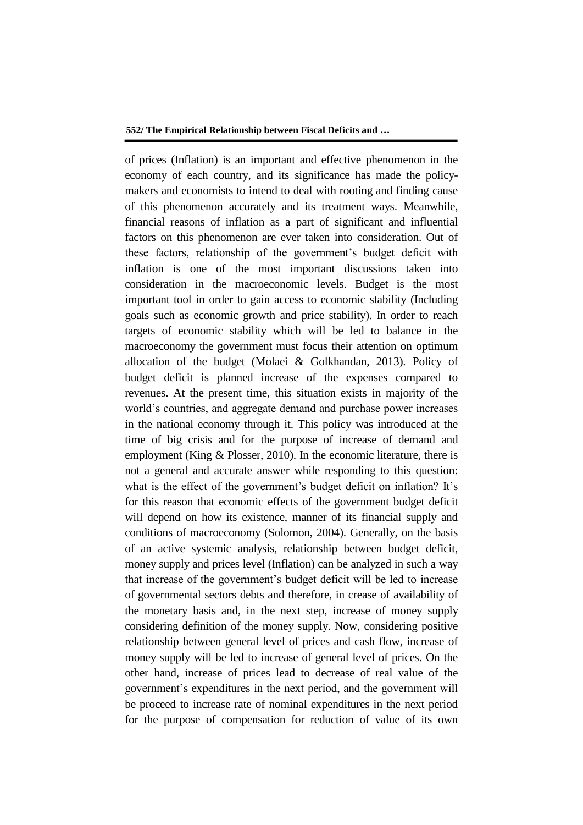of prices (Inflation) is an important and effective phenomenon in the economy of each country, and its significance has made the policymakers and economists to intend to deal with rooting and finding cause of this phenomenon accurately and its treatment ways. Meanwhile, financial reasons of inflation as a part of significant and influential factors on this phenomenon are ever taken into consideration. Out of these factors, relationship of the government's budget deficit with inflation is one of the most important discussions taken into consideration in the macroeconomic levels. Budget is the most important tool in order to gain access to economic stability (Including goals such as economic growth and price stability). In order to reach targets of economic stability which will be led to balance in the macroeconomy the government must focus their attention on optimum allocation of the budget (Molaei & Golkhandan, 2013). Policy of budget deficit is planned increase of the expenses compared to revenues. At the present time, this situation exists in majority of the world's countries, and aggregate demand and purchase power increases in the national economy through it. This policy was introduced at the time of big crisis and for the purpose of increase of demand and employment (King & Plosser, 2010). In the economic literature, there is not a general and accurate answer while responding to this question: what is the effect of the government's budget deficit on inflation? It's for this reason that economic effects of the government budget deficit will depend on how its existence, manner of its financial supply and conditions of macroeconomy (Solomon, 2004). Generally, on the basis of an active systemic analysis, relationship between budget deficit, money supply and prices level (Inflation) can be analyzed in such a way that increase of the government's budget deficit will be led to increase of governmental sectors debts and therefore, in crease of availability of the monetary basis and, in the next step, increase of money supply considering definition of the money supply. Now, considering positive relationship between general level of prices and cash flow, increase of money supply will be led to increase of general level of prices. On the other hand, increase of prices lead to decrease of real value of the government's expenditures in the next period, and the government will be proceed to increase rate of nominal expenditures in the next period for the purpose of compensation for reduction of value of its own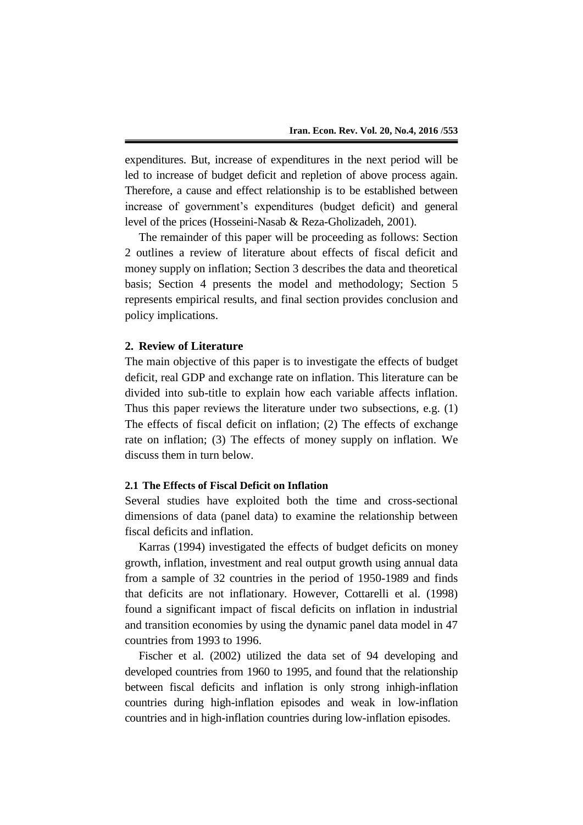expenditures. But, increase of expenditures in the next period will be led to increase of budget deficit and repletion of above process again. Therefore, a cause and effect relationship is to be established between increase of government's expenditures (budget deficit) and general level of the prices (Hosseini-Nasab & Reza-Gholizadeh, 2001).

The remainder of this paper will be proceeding as follows: Section 2 outlines a review of literature about effects of fiscal deficit and money supply on inflation; Section 3 describes the data and theoretical basis; Section 4 presents the model and methodology; Section 5 represents empirical results, and final section provides conclusion and policy implications.

#### **2. Review of Literature**

The main objective of this paper is to investigate the effects of budget deficit, real GDP and exchange rate on inflation. This literature can be divided into sub-title to explain how each variable affects inflation. Thus this paper reviews the literature under two subsections, e.g. (1) The effects of fiscal deficit on inflation; (2) The effects of exchange rate on inflation; (3) The effects of money supply on inflation. We discuss them in turn below.

# **2.1 The Effects of Fiscal Deficit on Inflation**

Several studies have exploited both the time and cross-sectional dimensions of data (panel data) to examine the relationship between fiscal deficits and inflation.

Karras (1994) investigated the effects of budget deficits on money growth, inflation, investment and real output growth using annual data from a sample of 32 countries in the period of 1950-1989 and finds that deficits are not inflationary. However, Cottarelli et al. (1998) found a significant impact of fiscal deficits on inflation in industrial and transition economies by using the dynamic panel data model in 47 countries from 1993 to 1996.

Fischer et al. (2002) utilized the data set of 94 developing and developed countries from 1960 to 1995, and found that the relationship between fiscal deficits and inflation is only strong inhigh-inflation countries during high-inflation episodes and weak in low-inflation countries and in high-inflation countries during low-inflation episodes.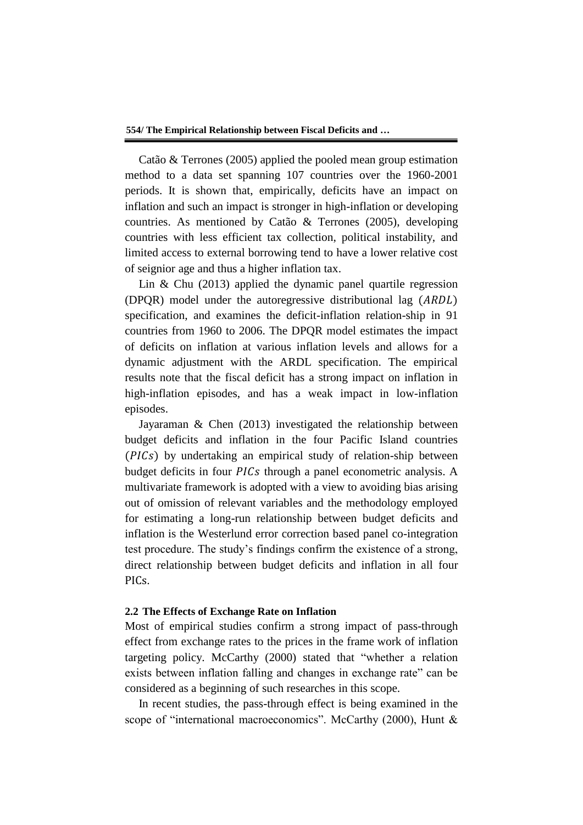Catão & Terrones (2005) applied the pooled mean group estimation method to a data set spanning 107 countries over the 1960-2001 periods. It is shown that, empirically, deficits have an impact on inflation and such an impact is stronger in high-inflation or developing countries. As mentioned by Catão & Terrones (2005), developing countries with less efficient tax collection, political instability, and limited access to external borrowing tend to have a lower relative cost of seignior age and thus a higher inflation tax.

Lin & Chu (2013) applied the dynamic panel quartile regression (DPQR) model under the autoregressive distributional lag (ARDL) specification, and examines the deficit-inflation relation-ship in 91 countries from 1960 to 2006. The DPQR model estimates the impact of deficits on inflation at various inflation levels and allows for a dynamic adjustment with the ARDL specification. The empirical results note that the fiscal deficit has a strong impact on inflation in high-inflation episodes, and has a weak impact in low-inflation episodes.

Jayaraman & Chen (2013) investigated the relationship between budget deficits and inflation in the four Pacific Island countries by undertaking an empirical study of relation-ship between budget deficits in four PICs through a panel econometric analysis. A multivariate framework is adopted with a view to avoiding bias arising out of omission of relevant variables and the methodology employed for estimating a long-run relationship between budget deficits and inflation is the Westerlund error correction based panel co-integration test procedure. The study's findings confirm the existence of a strong, direct relationship between budget deficits and inflation in all four PIC<sub>s</sub>.

# **2.2 The Effects of Exchange Rate on Inflation**

Most of empirical studies confirm a strong impact of pass-through effect from exchange rates to the prices in the frame work of inflation targeting policy. McCarthy (2000) stated that "whether a relation exists between inflation falling and changes in exchange rate" can be considered as a beginning of such researches in this scope.

In recent studies, the pass-through effect is being examined in the scope of "international macroeconomics". McCarthy (2000), Hunt &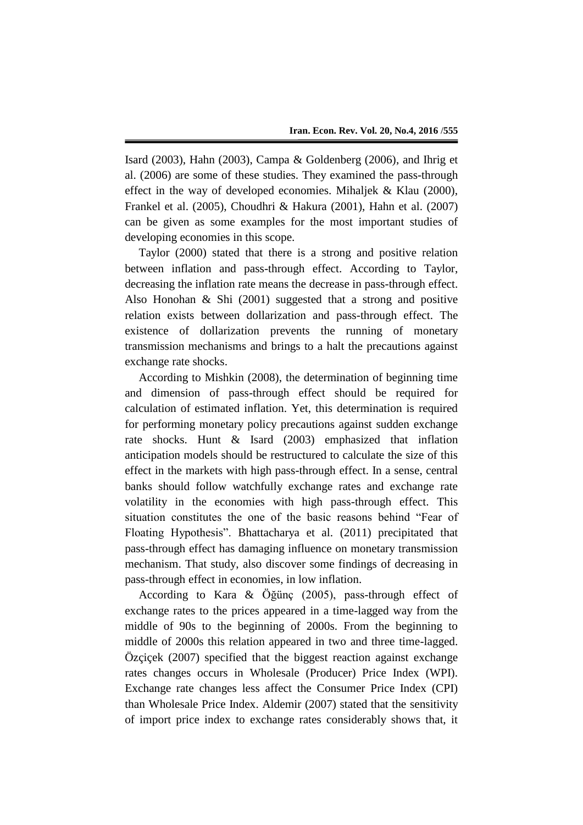Isard (2003), Hahn (2003), Campa & Goldenberg (2006), and Ihrig et al. (2006) are some of these studies. They examined the pass-through effect in the way of developed economies. Mihaljek & Klau (2000), Frankel et al. (2005), Choudhri & Hakura (2001), Hahn et al. (2007) can be given as some examples for the most important studies of developing economies in this scope.

Taylor (2000) stated that there is a strong and positive relation between inflation and pass-through effect. According to Taylor, decreasing the inflation rate means the decrease in pass-through effect. Also Honohan & Shi (2001) suggested that a strong and positive relation exists between dollarization and pass-through effect. The existence of dollarization prevents the running of monetary transmission mechanisms and brings to a halt the precautions against exchange rate shocks.

According to Mishkin (2008), the determination of beginning time and dimension of pass-through effect should be required for calculation of estimated inflation. Yet, this determination is required for performing monetary policy precautions against sudden exchange rate shocks. Hunt & Isard (2003) emphasized that inflation anticipation models should be restructured to calculate the size of this effect in the markets with high pass-through effect. In a sense, central banks should follow watchfully exchange rates and exchange rate volatility in the economies with high pass-through effect. This situation constitutes the one of the basic reasons behind "Fear of Floating Hypothesis". Bhattacharya et al. (2011) precipitated that pass-through effect has damaging influence on monetary transmission mechanism. That study, also discover some findings of decreasing in pass-through effect in economies, in low inflation.

According to Kara & Öğünç (2005), pass-through effect of exchange rates to the prices appeared in a time-lagged way from the middle of 90s to the beginning of 2000s. From the beginning to middle of 2000s this relation appeared in two and three time-lagged. Özçiçek (2007) specified that the biggest reaction against exchange rates changes occurs in Wholesale (Producer) Price Index (WPI). Exchange rate changes less affect the Consumer Price Index (CPI) than Wholesale Price Index. Aldemir (2007) stated that the sensitivity of import price index to exchange rates considerably shows that, it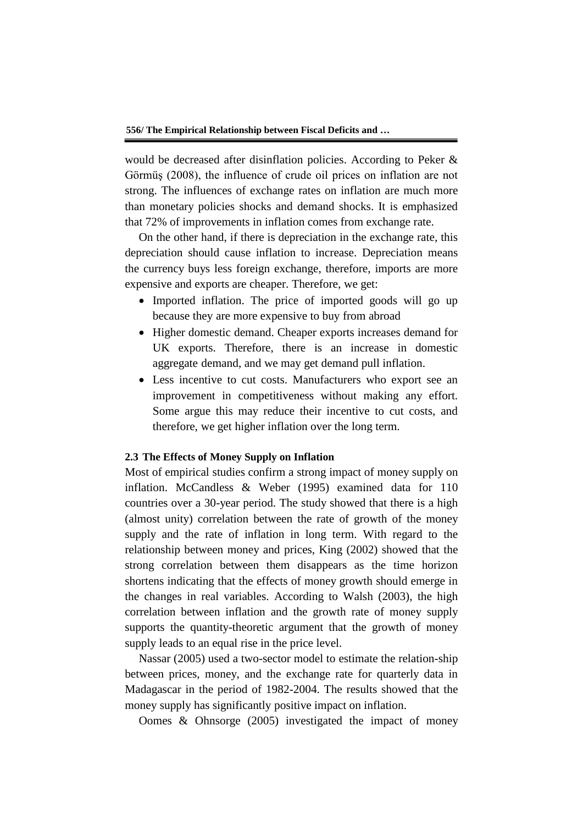would be decreased after disinflation policies. According to Peker & Görmüş (2008), the influence of crude oil prices on inflation are not strong. The influences of exchange rates on inflation are much more than monetary policies shocks and demand shocks. It is emphasized that 72% of improvements in inflation comes from exchange rate.

On the other hand, if there is depreciation in the exchange rate, this depreciation should cause inflation to increase. Depreciation means the currency buys less foreign exchange, therefore, imports are more expensive and exports are cheaper. Therefore, we get:

- Imported inflation. The price of imported goods will go up because they are more expensive to buy from abroad
- Higher domestic demand. Cheaper exports increases demand for UK exports. Therefore, there is an increase in domestic aggregate demand, and we may get demand pull inflation.
- Less incentive to cut costs. Manufacturers who export see an improvement in competitiveness without making any effort. Some argue this may reduce their incentive to cut costs, and therefore, we get higher inflation over the long term.

# **2.3 The Effects of Money Supply on Inflation**

Most of empirical studies confirm a strong impact of money supply on inflation. McCandless & Weber (1995) examined data for 110 countries over a 30-year period. The study showed that there is a high (almost unity) correlation between the rate of growth of the money supply and the rate of inflation in long term. With regard to the relationship between money and prices, King (2002) showed that the strong correlation between them disappears as the time horizon shortens indicating that the effects of money growth should emerge in the changes in real variables. According to Walsh (2003), the high correlation between inflation and the growth rate of money supply supports the quantity-theoretic argument that the growth of money supply leads to an equal rise in the price level.

Nassar (2005) used a two-sector model to estimate the relation-ship between prices, money, and the exchange rate for quarterly data in Madagascar in the period of 1982-2004. The results showed that the money supply has significantly positive impact on inflation.

Oomes & Ohnsorge (2005) investigated the impact of money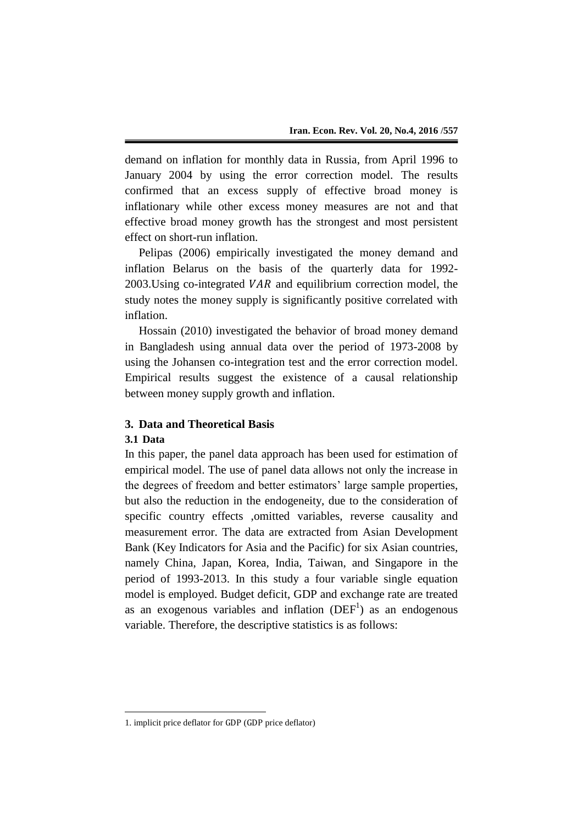demand on inflation for monthly data in Russia, from April 1996 to January 2004 by using the error correction model. The results confirmed that an excess supply of effective broad money is inflationary while other excess money measures are not and that effective broad money growth has the strongest and most persistent effect on short-run inflation.

Pelipas (2006) empirically investigated the money demand and inflation Belarus on the basis of the quarterly data for 1992-  $2003$ . Using co-integrated *VAR* and equilibrium correction model, the study notes the money supply is significantly positive correlated with inflation.

Hossain (2010) investigated the behavior of broad money demand in Bangladesh using annual data over the period of 1973-2008 by using the Johansen co-integration test and the error correction model. Empirical results suggest the existence of a causal relationship between money supply growth and inflation.

# **3. Data and Theoretical Basis**

## **3.1 Data**

 $\overline{a}$ 

In this paper, the panel data approach has been used for estimation of empirical model. The use of panel data allows not only the increase in the degrees of freedom and better estimators' large sample properties, but also the reduction in the endogeneity, due to the consideration of specific country effects ,omitted variables, reverse causality and measurement error. The data are extracted from Asian Development Bank (Key Indicators for Asia and the Pacific) for six Asian countries, namely China, Japan, Korea, India, Taiwan, and Singapore in the period of 1993-2013. In this study a four variable single equation model is employed. Budget deficit, GDP and exchange rate are treated as an exogenous variables and inflation  $(DEF<sup>1</sup>)$  as an endogenous variable. Therefore, the descriptive statistics is as follows:

<sup>1.</sup> implicit price deflator for GDP (GDP price deflator)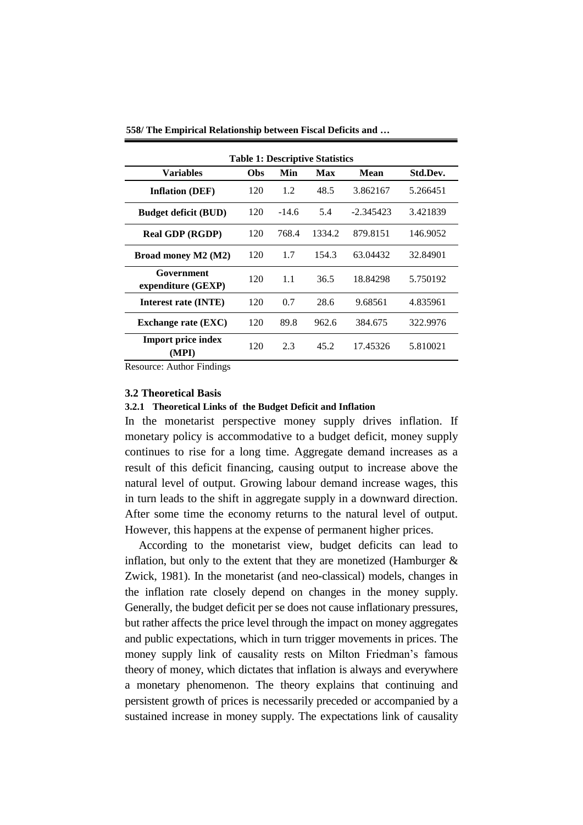| <b>Table 1: Descriptive Statistics</b> |            |         |        |             |          |  |
|----------------------------------------|------------|---------|--------|-------------|----------|--|
| <b>Variables</b>                       | <b>Obs</b> | Min     | Max    | <b>Mean</b> | Std.Dev. |  |
| <b>Inflation (DEF)</b>                 | 120        | 1.2     | 48.5   | 3.862167    | 5.266451 |  |
| <b>Budget deficit (BUD)</b>            | 120        | $-14.6$ | 5.4    | $-2.345423$ | 3.421839 |  |
| <b>Real GDP (RGDP)</b>                 | 120        | 768.4   | 1334.2 | 879.8151    | 146.9052 |  |
| Broad money M2 (M2)                    | 120        | 1.7     | 154.3  | 63.04432    | 32.84901 |  |
| Government<br>expenditure (GEXP)       | 120        | 1.1     | 36.5   | 18.84298    | 5.750192 |  |
| Interest rate (INTE)                   | 120        | 0.7     | 28.6   | 9.68561     | 4.835961 |  |
| <b>Exchange rate (EXC)</b>             | 120        | 89.8    | 962.6  | 384.675     | 322.9976 |  |
| <b>Import price index</b><br>(MPI)     | 120        | 2.3     | 45.2   | 17.45326    | 5.810021 |  |

**558/ The Empirical Relationship between Fiscal Deficits and …**

Resource: Author Findings

### **3.2 Theoretical Basis**

# **3.2.1 Theoretical Links of the Budget Deficit and Inflation**

In the monetarist perspective money supply drives inflation. If monetary policy is accommodative to a budget deficit, money supply continues to rise for a long time. Aggregate demand increases as a result of this deficit financing, causing output to increase above the natural level of output. Growing labour demand increase wages, this in turn leads to the shift in aggregate supply in a downward direction. After some time the economy returns to the natural level of output. However, this happens at the expense of permanent higher prices.

According to the monetarist view, budget deficits can lead to inflation, but only to the extent that they are monetized (Hamburger  $\&$ Zwick, 1981). In the monetarist (and neo-classical) models, changes in the inflation rate closely depend on changes in the money supply. Generally, the budget deficit per se does not cause inflationary pressures, but rather affects the price level through the impact on money aggregates and public expectations, which in turn trigger movements in prices. The money supply link of causality rests on Milton Friedman's famous theory of money, which dictates that inflation is always and everywhere a monetary phenomenon. The theory explains that continuing and persistent growth of prices is necessarily preceded or accompanied by a sustained increase in money supply. The expectations link of causality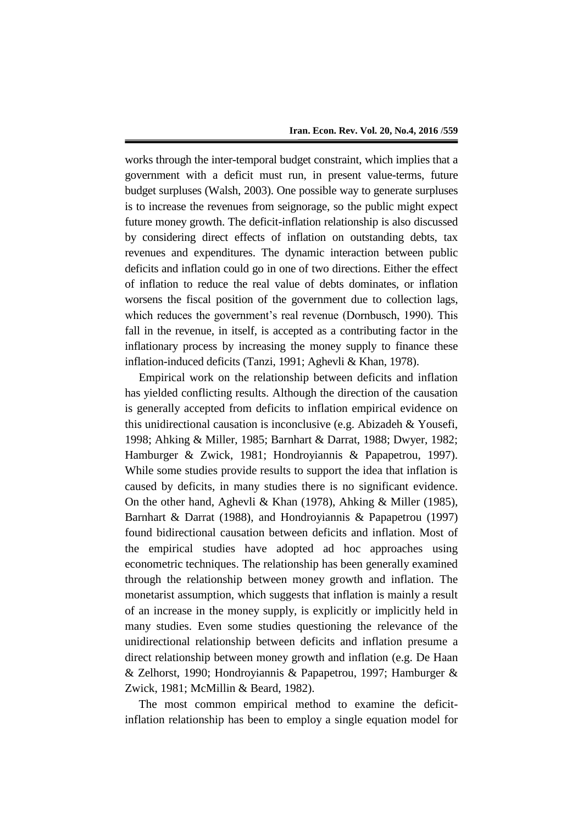works through the inter-temporal budget constraint, which implies that a government with a deficit must run, in present value-terms, future budget surpluses (Walsh, 2003). One possible way to generate surpluses is to increase the revenues from seignorage, so the public might expect future money growth. The deficit-inflation relationship is also discussed by considering direct effects of inflation on outstanding debts, tax revenues and expenditures. The dynamic interaction between public deficits and inflation could go in one of two directions. Either the effect of inflation to reduce the real value of debts dominates, or inflation worsens the fiscal position of the government due to collection lags, which reduces the government's real revenue (Dornbusch, 1990). This fall in the revenue, in itself, is accepted as a contributing factor in the inflationary process by increasing the money supply to finance these inflation-induced deficits (Tanzi, 1991; Aghevli & Khan, 1978).

Empirical work on the relationship between deficits and inflation has yielded conflicting results. Although the direction of the causation is generally accepted from deficits to inflation empirical evidence on this unidirectional causation is inconclusive (e.g. Abizadeh & Yousefi, 1998; Ahking & Miller, 1985; Barnhart & Darrat, 1988; Dwyer, 1982; Hamburger & Zwick, 1981; Hondroyiannis & Papapetrou, 1997). While some studies provide results to support the idea that inflation is caused by deficits, in many studies there is no significant evidence. On the other hand, Aghevli & Khan (1978), Ahking & Miller (1985), Barnhart & Darrat (1988), and Hondroyiannis & Papapetrou (1997) found bidirectional causation between deficits and inflation. Most of the empirical studies have adopted ad hoc approaches using econometric techniques. The relationship has been generally examined through the relationship between money growth and inflation. The monetarist assumption, which suggests that inflation is mainly a result of an increase in the money supply, is explicitly or implicitly held in many studies. Even some studies questioning the relevance of the unidirectional relationship between deficits and inflation presume a direct relationship between money growth and inflation (e.g. De Haan & Zelhorst, 1990; Hondroyiannis & Papapetrou, 1997; Hamburger & Zwick, 1981; McMillin & Beard, 1982).

The most common empirical method to examine the deficitinflation relationship has been to employ a single equation model for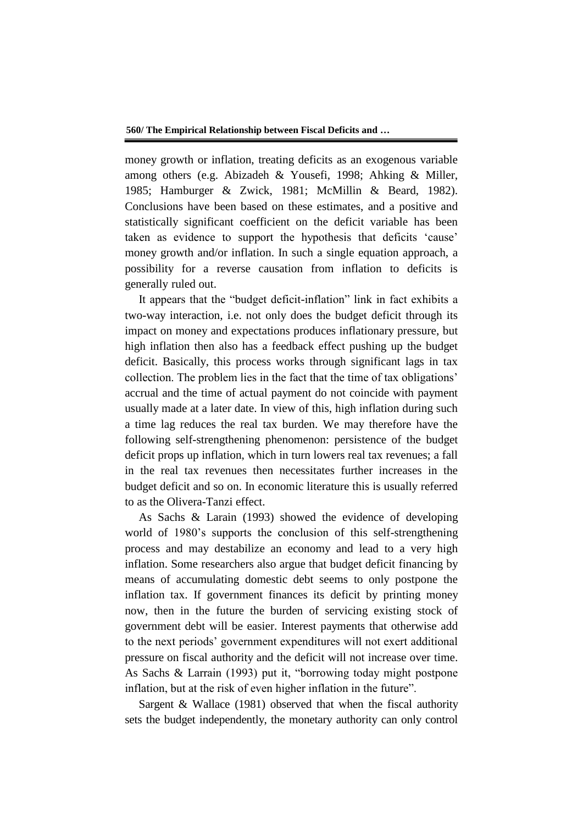money growth or inflation, treating deficits as an exogenous variable among others (e.g. Abizadeh & Yousefi, 1998; Ahking & Miller, 1985; Hamburger & Zwick, 1981; McMillin & Beard, 1982). Conclusions have been based on these estimates, and a positive and statistically significant coefficient on the deficit variable has been taken as evidence to support the hypothesis that deficits 'cause' money growth and/or inflation. In such a single equation approach, a possibility for a reverse causation from inflation to deficits is generally ruled out.

It appears that the "budget deficit-inflation" link in fact exhibits a two-way interaction, i.e. not only does the budget deficit through its impact on money and expectations produces inflationary pressure, but high inflation then also has a feedback effect pushing up the budget deficit. Basically, this process works through significant lags in tax collection. The problem lies in the fact that the time of tax obligations' accrual and the time of actual payment do not coincide with payment usually made at a later date. In view of this, high inflation during such a time lag reduces the real tax burden. We may therefore have the following self-strengthening phenomenon: persistence of the budget deficit props up inflation, which in turn lowers real tax revenues; a fall in the real tax revenues then necessitates further increases in the budget deficit and so on. In economic literature this is usually referred to as the Olivera-Tanzi effect.

As Sachs & Larain (1993) showed the evidence of developing world of 1980's supports the conclusion of this self-strengthening process and may destabilize an economy and lead to a very high inflation. Some researchers also argue that budget deficit financing by means of accumulating domestic debt seems to only postpone the inflation tax. If government finances its deficit by printing money now, then in the future the burden of servicing existing stock of government debt will be easier. Interest payments that otherwise add to the next periods' government expenditures will not exert additional pressure on fiscal authority and the deficit will not increase over time. As Sachs & Larrain (1993) put it, "borrowing today might postpone inflation, but at the risk of even higher inflation in the future".

Sargent & Wallace (1981) observed that when the fiscal authority sets the budget independently, the monetary authority can only control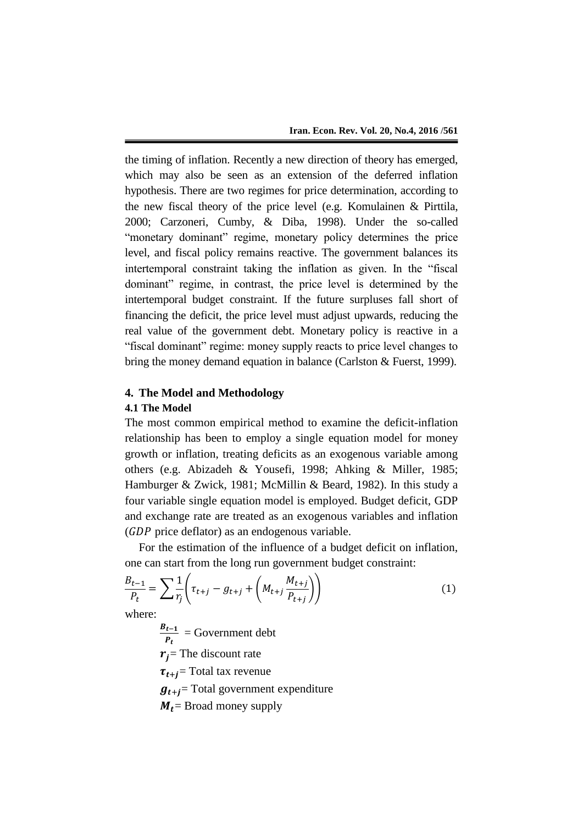the timing of inflation. Recently a new direction of theory has emerged, which may also be seen as an extension of the deferred inflation hypothesis. There are two regimes for price determination, according to the new fiscal theory of the price level (e.g. Komulainen & Pirttila, 2000; Carzoneri, Cumby, & Diba, 1998). Under the so-called "monetary dominant" regime, monetary policy determines the price level, and fiscal policy remains reactive. The government balances its intertemporal constraint taking the inflation as given. In the "fiscal dominant" regime, in contrast, the price level is determined by the intertemporal budget constraint. If the future surpluses fall short of financing the deficit, the price level must adjust upwards, reducing the real value of the government debt. Monetary policy is reactive in a "fiscal dominant" regime: money supply reacts to price level changes to bring the money demand equation in balance (Carlston & Fuerst, 1999).

# **4. The Model and Methodology 4.1 The Model**

The most common empirical method to examine the deficit-inflation relationship has been to employ a single equation model for money growth or inflation, treating deficits as an exogenous variable among others (e.g. Abizadeh & Yousefi, 1998; Ahking & Miller, 1985; Hamburger & Zwick, 1981; McMillin & Beard, 1982). In this study a four variable single equation model is employed. Budget deficit, GDP and exchange rate are treated as an exogenous variables and inflation  $(GDP)$  price deflator) as an endogenous variable.

For the estimation of the influence of a budget deficit on inflation, one can start from the long run government budget constraint:

$$
\frac{B_{t-1}}{P_t} = \sum \frac{1}{r_j} \left( \tau_{t+j} - g_{t+j} + \left( M_{t+j} \frac{M_{t+j}}{P_{t+j}} \right) \right)
$$
(1)

where:

B  $\frac{t-1}{P_t}$  = Government debt  $r_i$ = The discount rate  $\tau_{t+i}$ = Total tax revenue  $\boldsymbol{g}_{t+j}$ = Total government expenditure  $M_t$  = Broad money supply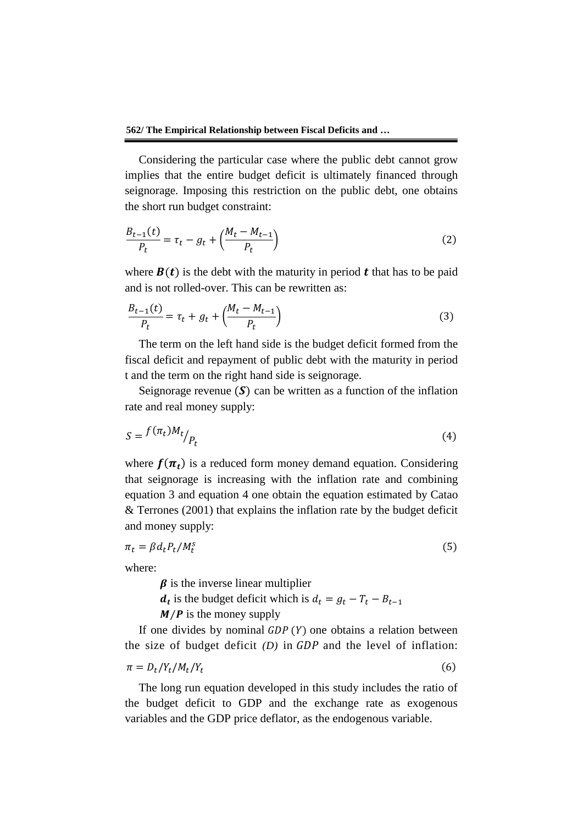**562/ The Empirical Relationship between Fiscal Deficits and …**

Considering the particular case where the public debt cannot grow implies that the entire budget deficit is ultimately financed through seignorage. Imposing this restriction on the public debt, one obtains the short run budget constraint:

$$
\frac{B_{t-1}(t)}{P_t} = \tau_t - g_t + \left(\frac{M_t - M_{t-1}}{P_t}\right)
$$
\n(2)

where  $B(t)$  is the debt with the maturity in period t that has to be paid and is not rolled-over. This can be rewritten as:

$$
\frac{B_{t-1}(t)}{P_t} = \tau_t + g_t + \left(\frac{M_t - M_{t-1}}{P_t}\right)
$$
\n(3)

The term on the left hand side is the budget deficit formed from the fiscal deficit and repayment of public debt with the maturity in period t and the term on the right hand side is seignorage.

Seignorage revenue  $(S)$  can be written as a function of the inflation rate and real money supply:

$$
S = \frac{f(\pi_t)M_t}{P_t} \tag{4}
$$

where  $f(\pi_t)$  is a reduced form money demand equation. Considering that seignorage is increasing with the inflation rate and combining equation 3 and equation 4 one obtain the equation estimated by Catao & Terrones (2001) that explains the inflation rate by the budget deficit and money supply:

$$
\pi_t = \beta d_t P_t / M_t^s \tag{5}
$$

where:

 $\beta$  is the inverse linear multiplier

 $d_t$  is the budget deficit which is

 $M/P$  is the money supply

If one divides by nominal  $GDP(Y)$  one obtains a relation between the size of budget deficit  $(D)$  in  $GDP$  and the level of inflation:

$$
\pi = D_t / Y_t / M_t / Y_t \tag{6}
$$

The long run equation developed in this study includes the ratio of the budget deficit to GDP and the exchange rate as exogenous variables and the GDP price deflator, as the endogenous variable.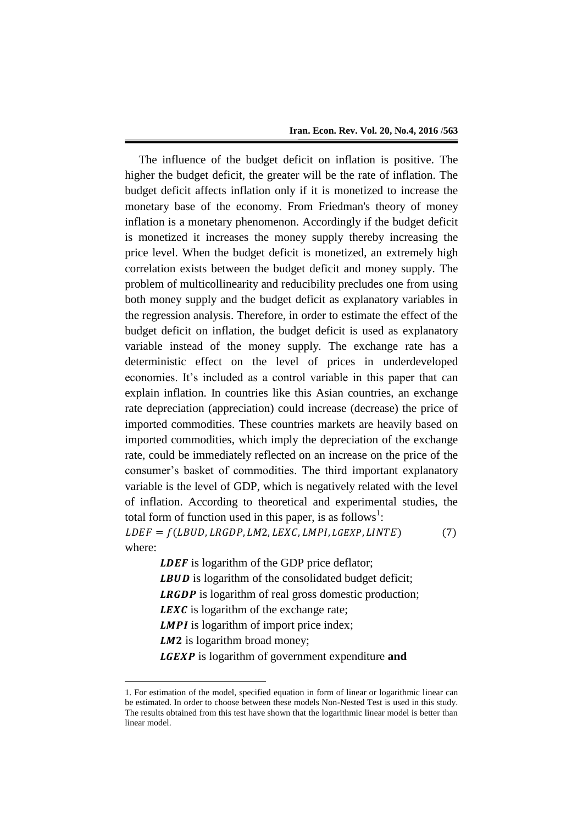The influence of the budget deficit on inflation is positive. The higher the budget deficit, the greater will be the rate of inflation. The budget deficit affects inflation only if it is monetized to increase the monetary base of the economy. From Friedman's theory of money inflation is a monetary phenomenon. Accordingly if the budget deficit is monetized it increases the money supply thereby increasing the price level. When the budget deficit is monetized, an extremely high correlation exists between the budget deficit and money supply. The problem of multicollinearity and reducibility precludes one from using both money supply and the budget deficit as explanatory variables in the regression analysis. Therefore, in order to estimate the effect of the budget deficit on inflation, the budget deficit is used as explanatory variable instead of the money supply. The exchange rate has a deterministic effect on the level of prices in underdeveloped economies. It's included as a control variable in this paper that can explain inflation. In countries like this Asian countries, an exchange rate depreciation (appreciation) could increase (decrease) the price of imported commodities. These countries markets are heavily based on imported commodities, which imply the depreciation of the exchange rate, could be immediately reflected on an increase on the price of the consumer's basket of commodities. The third important explanatory variable is the level of GDP, which is negatively related with the level of inflation. According to theoretical and experimental studies, the total form of function used in this paper, is as follows<sup>1</sup>:  $LDEF = f(LBUD, LRGDP, LM2, LEXC, LMPI, LGEXP, LINTE)$  $(7)$ where:

> **LDEF** is logarithm of the GDP price deflator; **LBUD** is logarithm of the consolidated budget deficit; **LRGDP** is logarithm of real gross domestic production; **LEXC** is logarithm of the exchange rate; *LMPI* is logarithm of import price index;  $LM2$  is logarithm broad money; **LGEXP** is logarithm of government expenditure and

1

<sup>1.</sup> For estimation of the model, specified equation in form of linear or logarithmic linear can be estimated. In order to choose between these models Non-Nested Test is used in this study. The results obtained from this test have shown that the logarithmic linear model is better than linear model.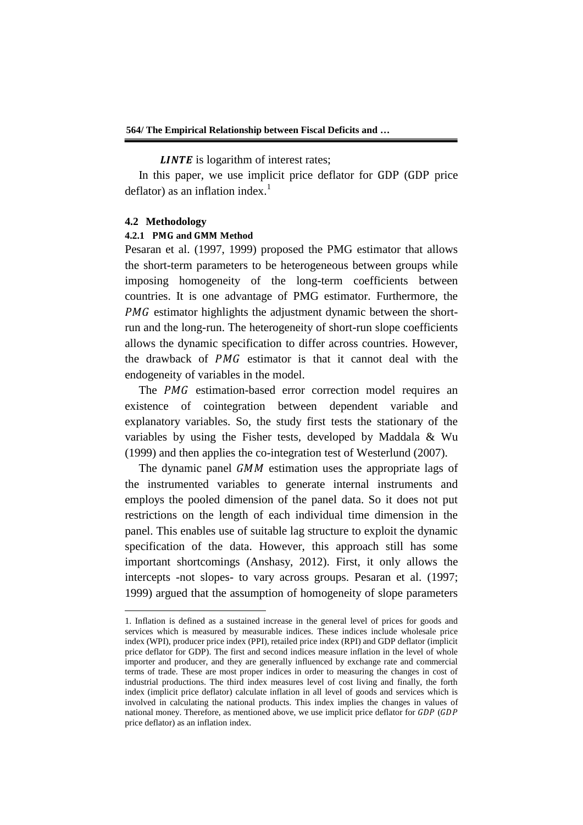**LINTE** is logarithm of interest rates;

In this paper, we use implicit price deflator for GDP (GDP price deflator) as an inflation index. $<sup>1</sup>$ </sup>

#### **4.2 Methodology**

 $\overline{a}$ 

#### **4.2.1 PMG and GMM Method**

Pesaran et al. (1997, 1999) proposed the PMG estimator that allows the short-term parameters to be heterogeneous between groups while imposing homogeneity of the long-term coefficients between countries. It is one advantage of PMG estimator. Furthermore, the  $PMG$  estimator highlights the adjustment dynamic between the shortrun and the long-run. The heterogeneity of short-run slope coefficients allows the dynamic specification to differ across countries. However, the drawback of PMG estimator is that it cannot deal with the endogeneity of variables in the model.

The PMG estimation-based error correction model requires an existence of cointegration between dependent variable and explanatory variables. So, the study first tests the stationary of the variables by using the Fisher tests, developed by Maddala & Wu (1999) and then applies the co-integration test of Westerlund (2007).

The dynamic panel GMM estimation uses the appropriate lags of the instrumented variables to generate internal instruments and employs the pooled dimension of the panel data. So it does not put restrictions on the length of each individual time dimension in the panel. This enables use of suitable lag structure to exploit the dynamic specification of the data. However, this approach still has some important shortcomings (Anshasy, 2012). First, it only allows the intercepts -not slopes- to vary across groups. Pesaran et al. (1997; 1999) argued that the assumption of homogeneity of slope parameters

<sup>1.</sup> Inflation is defined as a sustained increase in the general level of prices for goods and services which is measured by measurable indices. These indices include wholesale price index (WPI), producer price index (PPI), retailed price index (RPI) and GDP deflator (implicit price deflator for GDP). The first and second indices measure inflation in the level of whole importer and producer, and they are generally influenced by exchange rate and commercial terms of trade. These are most proper indices in order to measuring the changes in cost of industrial productions. The third index measures level of cost living and finally, the forth index (implicit price deflator) calculate inflation in all level of goods and services which is involved in calculating the national products. This index implies the changes in values of national money. Therefore, as mentioned above, we use implicit price deflator for GDP (GDP price deflator) as an inflation index.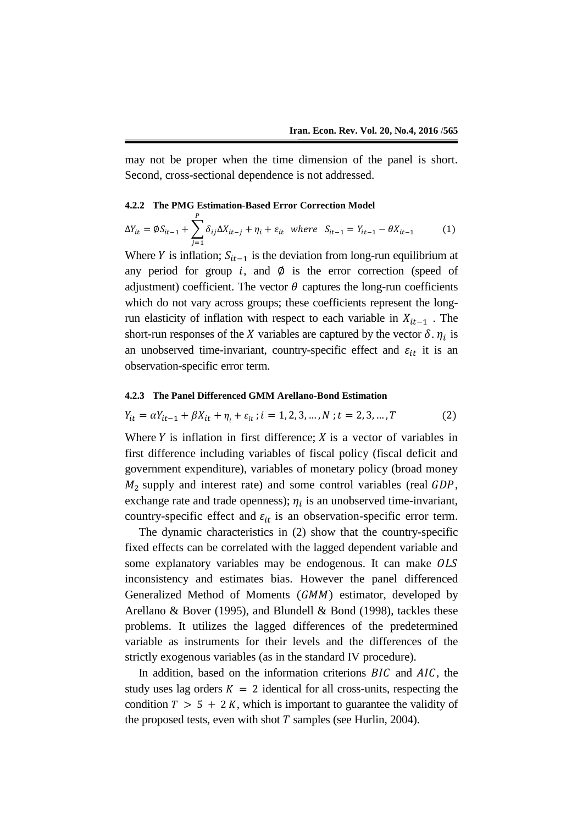may not be proper when the time dimension of the panel is short. Second, cross-sectional dependence is not addressed.

#### **4.2.2 The PMG Estimation-Based Error Correction Model**

$$
\Delta Y_{it} = \emptyset S_{it-1} + \sum_{j=1}^{P} \delta_{ij} \Delta X_{it-j} + \eta_i + \varepsilon_{it} \text{ where } S_{it-1} = Y_{it-1} - \theta X_{it-1} \tag{1}
$$

Where Y is inflation;  $S_{it-1}$  is the deviation from long-run equilibrium at any period for group  $i$ , and  $\emptyset$  is the error correction (speed of adjustment) coefficient. The vector  $\theta$  captures the long-run coefficients which do not vary across groups; these coefficients represent the longrun elasticity of inflation with respect to each variable in  $X_{it-1}$ . The short-run responses of the X variables are captured by the vector  $\delta$ .  $\eta_i$  is an unobserved time-invariant, country-specific effect and  $\varepsilon_{it}$  it is an observation-specific error term.

#### **4.2.3 The Panel Differenced GMM Arellano-Bond Estimation**

$$
Y_{it} = \alpha Y_{it-1} + \beta X_{it} + \eta_i + \varepsilon_{it}; i = 1, 2, 3, ..., N; t = 2, 3, ..., T
$$
 (2)

Where  $Y$  is inflation in first difference;  $X$  is a vector of variables in first difference including variables of fiscal policy (fiscal deficit and government expenditure), variables of monetary policy (broad money  $M<sub>2</sub>$  supply and interest rate) and some control variables (real  $GDP$ , exchange rate and trade openness);  $\eta_i$  is an unobserved time-invariant, country-specific effect and  $\varepsilon_{it}$  is an observation-specific error term.

The dynamic characteristics in (2) show that the country-specific fixed effects can be correlated with the lagged dependent variable and some explanatory variables may be endogenous. It can make OLS inconsistency and estimates bias. However the panel differenced Generalized Method of Moments  $(GMM)$  estimator, developed by Arellano & Bover (1995), and Blundell & Bond (1998), tackles these problems. It utilizes the lagged differences of the predetermined variable as instruments for their levels and the differences of the strictly exogenous variables (as in the standard IV procedure).

In addition, based on the information criterions  $BIC$  and  $AIC$ , the study uses lag orders  $K = 2$  identical for all cross-units, respecting the condition  $T > 5 + 2K$ , which is important to guarantee the validity of the proposed tests, even with shot  $T$  samples (see Hurlin, 2004).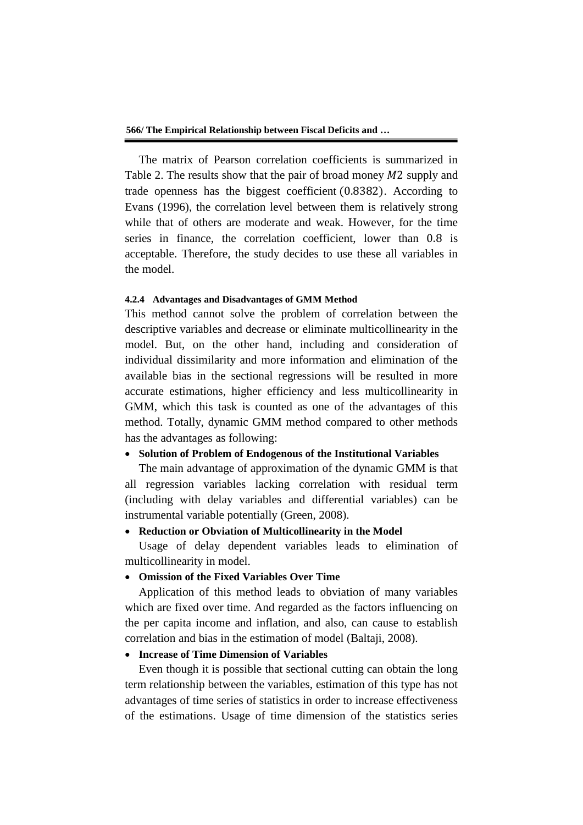**566/ The Empirical Relationship between Fiscal Deficits and …**

The matrix of Pearson correlation coefficients is summarized in Table 2. The results show that the pair of broad money  $M2$  supply and trade openness has the biggest coefficient  $(0.8382)$ . According to Evans (1996), the correlation level between them is relatively strong while that of others are moderate and weak. However, for the time series in finance, the correlation coefficient, lower than  $0.8$  is acceptable. Therefore, the study decides to use these all variables in the model.

### **4.2.4 Advantages and Disadvantages of GMM Method**

This method cannot solve the problem of correlation between the descriptive variables and decrease or eliminate multicollinearity in the model. But, on the other hand, including and consideration of individual dissimilarity and more information and elimination of the available bias in the sectional regressions will be resulted in more accurate estimations, higher efficiency and less multicollinearity in GMM, which this task is counted as one of the advantages of this method. Totally, dynamic GMM method compared to other methods has the advantages as following:

### **Solution of Problem of Endogenous of the Institutional Variables**

The main advantage of approximation of the dynamic GMM is that all regression variables lacking correlation with residual term (including with delay variables and differential variables) can be instrumental variable potentially (Green, 2008).

# **Reduction or Obviation of Multicollinearity in the Model**

Usage of delay dependent variables leads to elimination of multicollinearity in model.

## **Omission of the Fixed Variables Over Time**

Application of this method leads to obviation of many variables which are fixed over time. And regarded as the factors influencing on the per capita income and inflation, and also, can cause to establish correlation and bias in the estimation of model (Baltaji, 2008).

# **Increase of Time Dimension of Variables**

Even though it is possible that sectional cutting can obtain the long term relationship between the variables, estimation of this type has not advantages of time series of statistics in order to increase effectiveness of the estimations. Usage of time dimension of the statistics series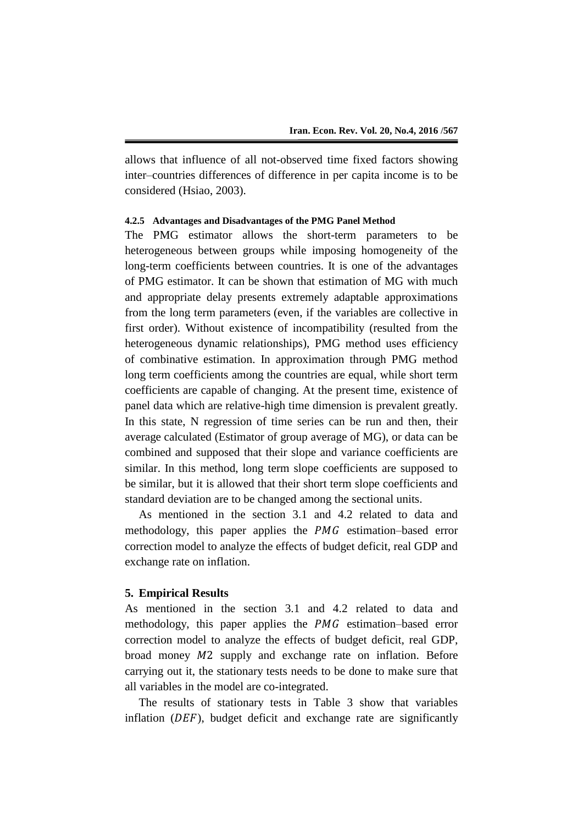allows that influence of all not-observed time fixed factors showing inter–countries differences of difference in per capita income is to be considered (Hsiao, 2003).

# **4.2.5 Advantages and Disadvantages of the PMG Panel Method**

The PMG estimator allows the short-term parameters to be heterogeneous between groups while imposing homogeneity of the long-term coefficients between countries. It is one of the advantages of PMG estimator. It can be shown that estimation of MG with much and appropriate delay presents extremely adaptable approximations from the long term parameters (even, if the variables are collective in first order). Without existence of incompatibility (resulted from the heterogeneous dynamic relationships), PMG method uses efficiency of combinative estimation. In approximation through PMG method long term coefficients among the countries are equal, while short term coefficients are capable of changing. At the present time, existence of panel data which are relative-high time dimension is prevalent greatly. In this state, N regression of time series can be run and then, their average calculated (Estimator of group average of MG), or data can be combined and supposed that their slope and variance coefficients are similar. In this method, long term slope coefficients are supposed to be similar, but it is allowed that their short term slope coefficients and standard deviation are to be changed among the sectional units.

As mentioned in the section 3.1 and 4.2 related to data and methodology, this paper applies the  $PMG$  estimation–based error correction model to analyze the effects of budget deficit, real GDP and exchange rate on inflation.

### **5. Empirical Results**

As mentioned in the section 3.1 and 4.2 related to data and methodology, this paper applies the  $PMG$  estimation–based error correction model to analyze the effects of budget deficit, real GDP, broad money  $M2$  supply and exchange rate on inflation. Before carrying out it, the stationary tests needs to be done to make sure that all variables in the model are co-integrated.

The results of stationary tests in Table 3 show that variables inflation  $(DEF)$ , budget deficit and exchange rate are significantly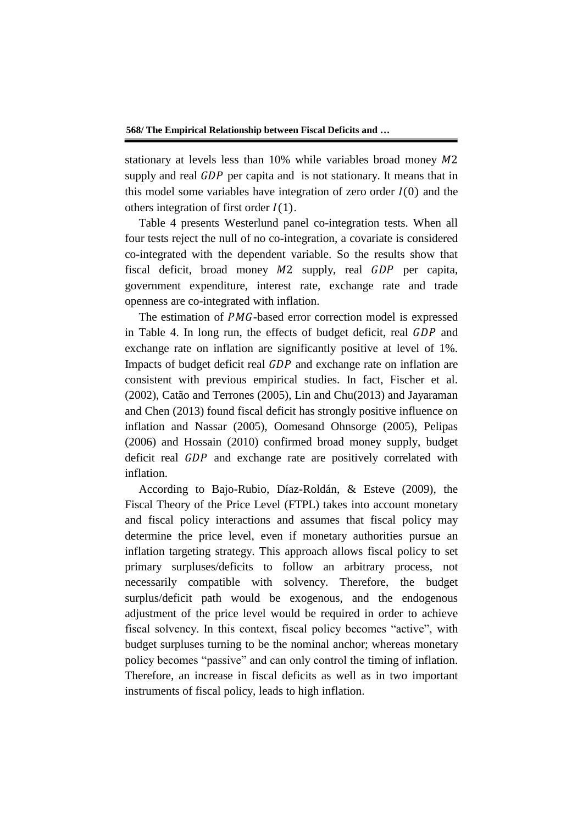stationary at levels less than 10% while variables broad money  $M2$ supply and real GDP per capita and is not stationary. It means that in this model some variables have integration of zero order  $I(0)$  and the others integration of first order  $I(1)$ .

Table 4 presents Westerlund panel co-integration tests. When all four tests reject the null of no co-integration, a covariate is considered co-integrated with the dependent variable. So the results show that fiscal deficit, broad money  $M2$  supply, real  $GDP$  per capita, government expenditure, interest rate, exchange rate and trade openness are co-integrated with inflation.

The estimation of  $PMG$ -based error correction model is expressed in Table 4. In long run, the effects of budget deficit, real GDP and exchange rate on inflation are significantly positive at level of 1%. Impacts of budget deficit real GDP and exchange rate on inflation are consistent with previous empirical studies. In fact, Fischer et al. (2002), Catão and Terrones (2005), Lin and Chu(2013) and Jayaraman and Chen (2013) found fiscal deficit has strongly positive influence on inflation and Nassar (2005), Oomesand Ohnsorge (2005), Pelipas (2006) and Hossain (2010) confirmed broad money supply, budget deficit real  $GDP$  and exchange rate are positively correlated with inflation.

According to Bajo-Rubio, Díaz-Roldán, & Esteve (2009), the Fiscal Theory of the Price Level (FTPL) takes into account monetary and fiscal policy interactions and assumes that fiscal policy may determine the price level, even if monetary authorities pursue an inflation targeting strategy. This approach allows fiscal policy to set primary surpluses/deficits to follow an arbitrary process, not necessarily compatible with solvency. Therefore, the budget surplus/deficit path would be exogenous, and the endogenous adjustment of the price level would be required in order to achieve fiscal solvency. In this context, fiscal policy becomes "active", with budget surpluses turning to be the nominal anchor; whereas monetary policy becomes "passive" and can only control the timing of inflation. Therefore, an increase in fiscal deficits as well as in two important instruments of fiscal policy, leads to high inflation.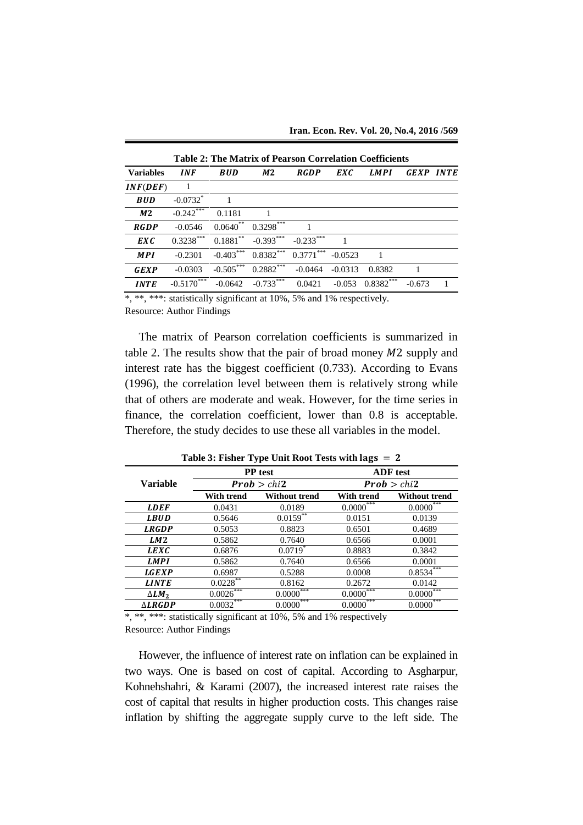| Table 2. The Matrix of Fearson Correlation Coemicients |                        |                        |                |             |           |             |                  |              |
|--------------------------------------------------------|------------------------|------------------------|----------------|-------------|-----------|-------------|------------------|--------------|
| <b>Variables</b>                                       | <b>INF</b>             | <b>BUD</b>             | M <sub>2</sub> | <b>RGDP</b> | EXC       | <b>LMPI</b> | <b>GEXP INTE</b> |              |
| INF(DEF)                                               | -1                     |                        |                |             |           |             |                  |              |
| <b>BUD</b>                                             | $-0.0732$ <sup>*</sup> |                        |                |             |           |             |                  |              |
| M <sub>2</sub>                                         | $-0.242***$            | 0.1181                 |                |             |           |             |                  |              |
| <b>RGDP</b>                                            | $-0.0546$              | $0.0640$ <sup>**</sup> | $0.3298$ ***   |             |           |             |                  |              |
| <b>EXC</b>                                             | $0.3238***$            | $0.1881***$            | $-0.393***$    | $-0.233***$ |           |             |                  |              |
| <b>MPI</b>                                             | $-0.2301$              | $-0.403***$            | $0.8382***$    | $0.3771***$ | $-0.0523$ |             |                  |              |
| <b>GEXP</b>                                            | $-0.0303$              | $-0.505***$            | $0.2882***$    | $-0.0464$   | $-0.0313$ | 0.8382      |                  |              |
| <b>INTE</b>                                            | $-0.5170***$           | $-0.0642$              | $-0.733***$    | 0.0421      | $-0.053$  | $0.8382***$ | $-0.673$         | $\mathbf{1}$ |

**Table 2: The Matrix of Pearson Correlation Coefficients**

\*, \*\*, \*\*\*: statistically significant at 10%, 5% and 1% respectively. Resource: Author Findings

The matrix of Pearson correlation coefficients is summarized in table 2. The results show that the pair of broad money  $M2$  supply and interest rate has the biggest coefficient (0.733). According to Evans (1996), the correlation level between them is relatively strong while that of others are moderate and weak. However, for the time series in finance, the correlation coefficient, lower than 0.8 is acceptable. Therefore, the study decides to use these all variables in the model.

|                   |              | PP test                 | <b>ADF</b> test         |                           |  |
|-------------------|--------------|-------------------------|-------------------------|---------------------------|--|
| <b>Variable</b>   | Prob > chi2  |                         | Prob > chi2             |                           |  |
|                   | With trend   | <b>Without trend</b>    | <b>With trend</b>       | <b>Without trend</b>      |  |
| <b>LDEF</b>       | 0.0431       | 0.0189                  | $0.0000$ <sup>***</sup> | $0.0000$ <sup>***</sup>   |  |
| <b>LBUD</b>       | 0.5646       | $0.0159$ **             | 0.0151                  | 0.0139                    |  |
| <b>LRGDP</b>      | 0.5053       | 0.8823                  | 0.6501                  | 0.4689                    |  |
| LM <sub>2</sub>   | 0.5862       | 0.7640                  | 0.6566                  | 0.0001                    |  |
| <b>LEXC</b>       | 0.6876       | $0.0719*$               | 0.8883                  | 0.3842                    |  |
| <b>LMPI</b>       | 0.5862       | 0.7640                  | 0.6566                  | 0.0001                    |  |
| <b>LGEXP</b>      | 0.6987       | 0.5288                  | 0.0008                  | $0.85\overline{34}^{***}$ |  |
| <b>LINTE</b>      | 0.0228       | 0.8162                  | 0.2672                  | 0.0142                    |  |
| $\Delta LM_2$     | $0.0026$ *** | $0.0000***$             | $0.0000$ <sup>***</sup> | $0.0000$ <sup>***</sup>   |  |
| $\triangle LRGDP$ | $0.0032***$  | $0.0000$ <sup>***</sup> | $0.0000$ <sup>***</sup> | ***<br>0.0000             |  |

**Table 3: Fisher Type Unit Root Tests with** 

\*, \*\*, \*\*\*: statistically significant at 10%, 5% and 1% respectively Resource: Author Findings

However, the influence of interest rate on inflation can be explained in two ways. One is based on cost of capital. According to Asgharpur, Kohnehshahri, & Karami (2007), the increased interest rate raises the cost of capital that results in higher production costs. This changes raise inflation by shifting the aggregate supply curve to the left side. The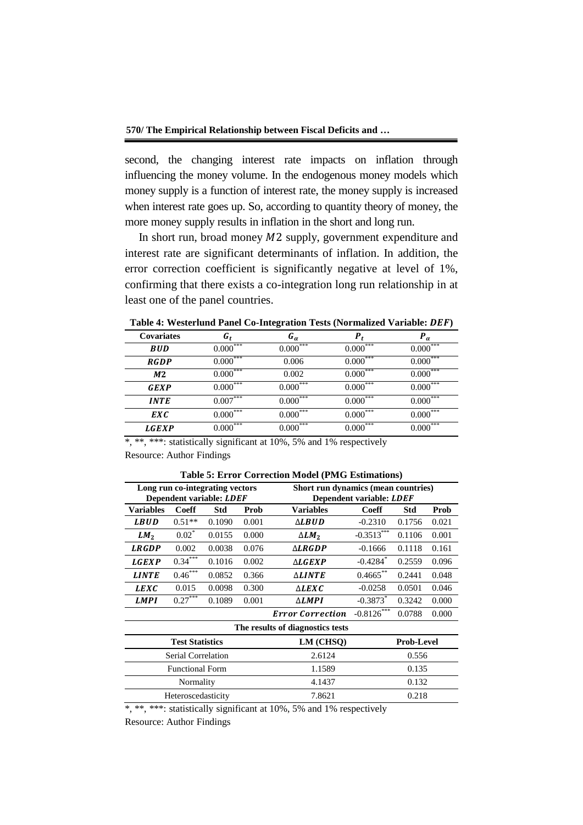second, the changing interest rate impacts on inflation through influencing the money volume. In the endogenous money models which money supply is a function of interest rate, the money supply is increased when interest rate goes up. So, according to quantity theory of money, the more money supply results in inflation in the short and long run.

In short run, broad money  $M2$  supply, government expenditure and interest rate are significant determinants of inflation. In addition, the error correction coefficient is significantly negative at level of 1%, confirming that there exists a co-integration long run relationship in at least one of the panel countries.

| <b>Covariates</b> | ն <sub>ք</sub>         | G <sub>a</sub> | P                        | $\bm{P}_{\alpha}$      |
|-------------------|------------------------|----------------|--------------------------|------------------------|
| <b>BUD</b>        | $0.000***$             | $0.000***$     | $0.000***$               | $0.000***$             |
| <b>RGDP</b>       | $0.000***$             | 0.006          | $0.000***$               | $0.000***$             |
| M <sub>2</sub>    | $0.000^{***}$          | 0.002          | $0.000^{***}$            | $0.000^{***}$          |
| GEXP              | ***<br>0.000           | $0.000^{***}$  | ***<br>$0.000^{\circ}$   | ***<br>0.000           |
| <b>INTE</b>       | $0.007$ <sup>***</sup> | ***<br>0.000   | $0.000^{\overline{***}}$ | ***<br>0.000           |
| EXC               | ***<br>0.000           | ***<br>0.000   | $0.000^{***}$            | ***<br>0.000           |
| <i>LGEXP</i>      | $0.000^{***}$          | ***<br>0.000   | $0.000$ <sup>***</sup>   | $0.000$ <sup>***</sup> |

**Table 4: Westerlund Panel Co-Integration Tests (Normalized Variable: )**

\*, \*\*, \*\*\*: statistically significant at 10%, 5% and 1% respectively Resource: Author Findings

| Long run co-integrating vectors<br>Dependent variable: LDEF |              |        | Short run dynamics (mean countries)<br>Dependent variable: LDEF |                         |                        |            |       |
|-------------------------------------------------------------|--------------|--------|-----------------------------------------------------------------|-------------------------|------------------------|------------|-------|
| <b>Variables</b>                                            | <b>Coeff</b> | Std    | Prob                                                            | <b>Variables</b>        | <b>Coeff</b>           | <b>Std</b> | Prob  |
| <b>LBUD</b>                                                 | $0.51**$     | 0.1090 | 0.001                                                           | ∆LBUD                   | $-0.2310$              | 0.1756     | 0.021 |
| LM <sub>2</sub>                                             | $0.02*$      | 0.0155 | 0.000                                                           | $\Delta LM_2$           | $-0.3513***$           | 0.1106     | 0.001 |
| <b>LRGDP</b>                                                | 0.002        | 0.0038 | 0.076                                                           | $\triangle LRGDP$       | $-0.1666$              | 0.1118     | 0.161 |
| <b>LGEXP</b>                                                | $0.34***$    | 0.1016 | 0.002                                                           | $\triangle LGEXP$       | $-0.4284$ <sup>*</sup> | 0.2559     | 0.096 |
| <b>LINTE</b>                                                | $0.46***$    | 0.0852 | 0.366                                                           | <b>ALINTE</b>           | $0.4665***$            | 0.2441     | 0.048 |
| <b>LEXC</b>                                                 | 0.015        | 0.0098 | 0.300                                                           | $\triangle LEXC$        | $-0.0258$              | 0.0501     | 0.046 |
| <b>LMPI</b>                                                 | 0.27         | 0.1089 | 0.001                                                           | $\triangle LMPI$        | $-0.3873$ <sup>*</sup> | 0.3242     | 0.000 |
|                                                             |              |        |                                                                 | <b>Error Correction</b> | $-0.8126***$           | 0.0788     | 0.000 |
| The results of diagnostics tests                            |              |        |                                                                 |                         |                        |            |       |
| <b>Test Statistics</b>                                      |              |        | LM (CHSO)                                                       |                         | <b>Prob-Level</b>      |            |       |
| Serial Correlation                                          |              |        | 2.6124<br>0.556                                                 |                         |                        |            |       |
| <b>Functional Form</b>                                      |              | 1.1589 |                                                                 | 0.135                   |                        |            |       |
| Normality                                                   |              | 4.1437 |                                                                 | 0.132                   |                        |            |       |
| Heteroscedasticity                                          |              |        | 7.8621                                                          | 0.218                   |                        |            |       |

**Table 5: Error Correction Model (PMG Estimations)**

\*, \*\*, \*\*\*: statistically significant at 10%, 5% and 1% respectively

Resource: Author Findings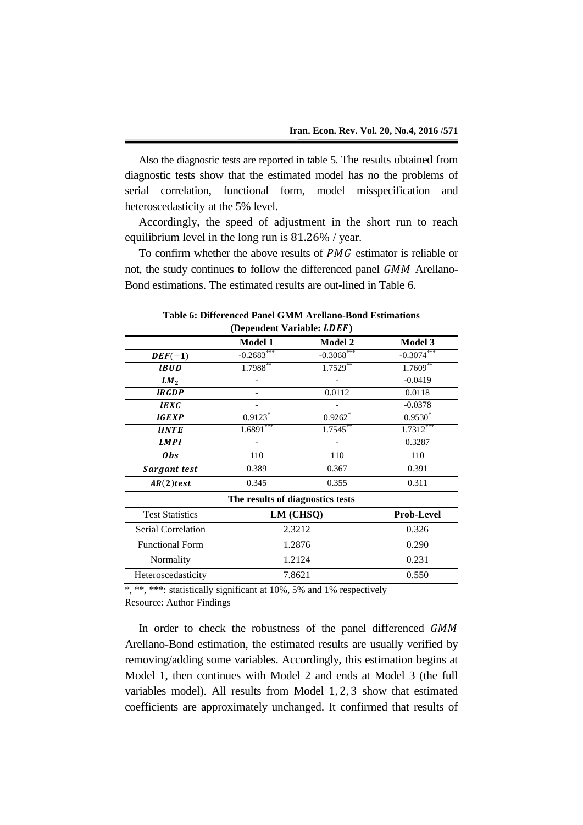Also the diagnostic tests are reported in table 5. The results obtained from diagnostic tests show that the estimated model has no the problems of serial correlation, functional form, model misspecification and heteroscedasticity at the 5% level.

Accordingly, the speed of adjustment in the short run to reach equilibrium level in the long run is  $81.26\%$  / year.

To confirm whether the above results of  $PMG$  estimator is reliable or not, the study continues to follow the differenced panel  $GMM$  Arellano-Bond estimations. The estimated results are out-lined in Table 6.

| $(\mathbf{D} \mathbf{C})$        |                       |                       |                |  |  |  |  |
|----------------------------------|-----------------------|-----------------------|----------------|--|--|--|--|
|                                  | <b>Model 1</b>        | <b>Model 2</b>        | <b>Model 3</b> |  |  |  |  |
| $DEF(-1)$                        | $-0.2683***$          | $-0.3068$ ***         | $-0.3074***$   |  |  |  |  |
| <b>IBUD</b>                      | $1.7988**$            | $1.7529***$           | $1.7609***$    |  |  |  |  |
| LM <sub>2</sub>                  |                       |                       | $-0.0419$      |  |  |  |  |
| <b>IRGDP</b>                     |                       | 0.0112                | 0.0118         |  |  |  |  |
| <b>IEXC</b>                      |                       |                       | $-0.0378$      |  |  |  |  |
| <b>IGEXP</b>                     | $0.9123$ <sup>*</sup> | $0.9262$ <sup>*</sup> | $0.9530^{*}$   |  |  |  |  |
| <b>IINTE</b>                     | $1.6891***$           | $1.7545***$           | $1.7312***$    |  |  |  |  |
| <b>LMPI</b>                      |                       |                       | 0.3287         |  |  |  |  |
| <b>Obs</b>                       | 110                   | 110                   | 110            |  |  |  |  |
| Sargant test                     | 0.389                 | 0.367                 | 0.391          |  |  |  |  |
| AR(2) test                       | 0.345                 | 0.355                 | 0.311          |  |  |  |  |
| The results of diagnostics tests |                       |                       |                |  |  |  |  |
| <b>Test Statistics</b>           | LM (CHSQ)             | <b>Prob-Level</b>     |                |  |  |  |  |
| Serial Correlation               | 2.3212                | 0.326                 |                |  |  |  |  |
| <b>Functional Form</b>           | 1.2876                | 0.290                 |                |  |  |  |  |
| Normality                        | 1.2124                | 0.231                 |                |  |  |  |  |
| Heteroscedasticity               | 7.8621                | 0.550                 |                |  |  |  |  |

**Table 6: Differenced Panel GMM Arellano-Bond Estimations (Dependent Variable: LDEF)** 

\*, \*\*, \*\*\*: statistically significant at 10%, 5% and 1% respectively Resource: Author Findings

In order to check the robustness of the panel differenced GMM Arellano-Bond estimation, the estimated results are usually verified by removing/adding some variables. Accordingly, this estimation begins at Model 1, then continues with Model 2 and ends at Model 3 (the full variables model). All results from Model  $1, 2, 3$  show that estimated coefficients are approximately unchanged. It confirmed that results of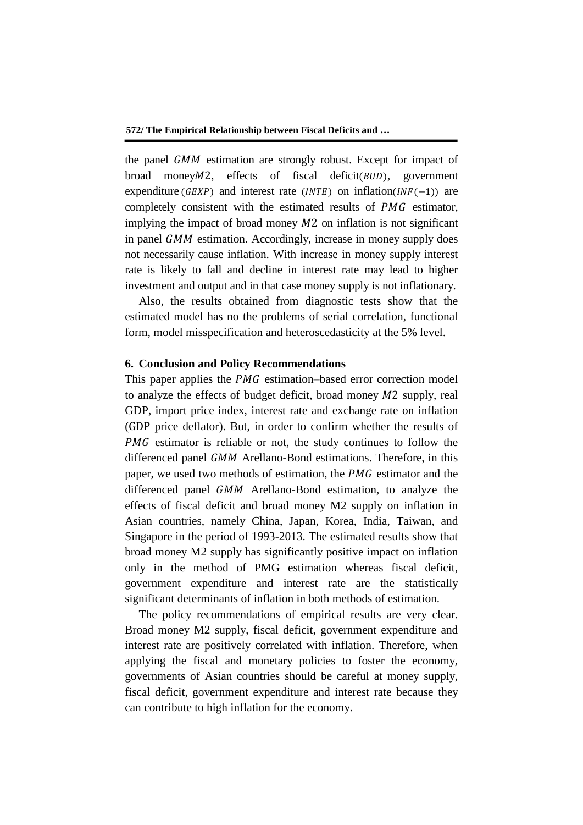the panel GMM estimation are strongly robust. Except for impact of broad money $M2$ , effects of fiscal deficit  $(BUD)$ , government expenditure (GEXP) and interest rate (INTE) on inflation  $(INF(-1))$  are completely consistent with the estimated results of PMG estimator, implying the impact of broad money  $M2$  on inflation is not significant in panel  $GMM$  estimation. Accordingly, increase in money supply does not necessarily cause inflation. With increase in money supply interest rate is likely to fall and decline in interest rate may lead to higher investment and output and in that case money supply is not inflationary.

Also, the results obtained from diagnostic tests show that the estimated model has no the problems of serial correlation, functional form, model misspecification and heteroscedasticity at the 5% level.

# **6. Conclusion and Policy Recommendations**

This paper applies the *PMG* estimation–based error correction model to analyze the effects of budget deficit, broad money  $M2$  supply, real GDP, import price index, interest rate and exchange rate on inflation (GDP price deflator). But, in order to confirm whether the results of  $PMG$  estimator is reliable or not, the study continues to follow the differenced panel GMM Arellano-Bond estimations. Therefore, in this paper, we used two methods of estimation, the  $PMG$  estimator and the differenced panel GMM Arellano-Bond estimation, to analyze the effects of fiscal deficit and broad money M2 supply on inflation in Asian countries, namely China, Japan, Korea, India, Taiwan, and Singapore in the period of 1993-2013. The estimated results show that broad money M2 supply has significantly positive impact on inflation only in the method of PMG estimation whereas fiscal deficit, government expenditure and interest rate are the statistically significant determinants of inflation in both methods of estimation.

The policy recommendations of empirical results are very clear. Broad money M2 supply, fiscal deficit, government expenditure and interest rate are positively correlated with inflation. Therefore, when applying the fiscal and monetary policies to foster the economy, governments of Asian countries should be careful at money supply, fiscal deficit, government expenditure and interest rate because they can contribute to high inflation for the economy.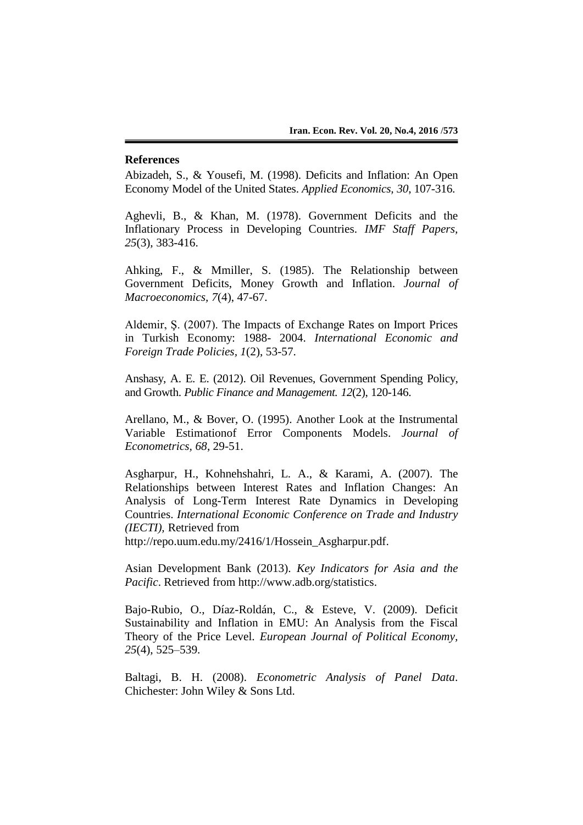# **References**

Abizadeh, S., & Yousefi, M. (1998). Deficits and Inflation: An Open Economy Model of the United States. *Applied Economics, 30*, 107-316.

Aghevli, B., & Khan, M. (1978). Government Deficits and the Inflationary Process in Developing Countries. *IMF Staff Papers, 25*(3), 383-416.

Ahking, F., & Mmiller, S. (1985). The Relationship between Government Deficits, Money Growth and Inflation. *Journal of Macroeconomics, 7*(4), 47-67.

Aldemir, Ş. (2007). The Impacts of Exchange Rates on Import Prices in Turkish Economy: 1988- 2004. *International Economic and Foreign Trade Policies, 1*(2), 53-57.

Anshasy, A. E. E. (2012). Oil Revenues, Government Spending Policy, and Growth. *Public Finance and Management. 12*(2), 120-146.

Arellano, M., & Bover, O. (1995). Another Look at the Instrumental Variable Estimationof Error Components Models. *Journal of Econometrics, 68*, 29-51.

Asgharpur, H., Kohnehshahri, L. A., & Karami, A. (2007). The Relationships between Interest Rates and Inflation Changes: An Analysis of Long-Term Interest Rate Dynamics in Developing Countries. *International Economic Conference on Trade and Industry (IECTI),* Retrieved from

http://repo.uum.edu.my/2416/1/Hossein\_Asgharpur.pdf.

Asian Development Bank (2013). *Key Indicators for Asia and the Pacific*. Retrieved from http://www.adb.org/statistics.

Bajo-Rubio, O., Díaz-Roldán, C., & Esteve, V. (2009). Deficit Sustainability and Inflation in EMU: An Analysis from the Fiscal Theory of the Price Level. *European Journal of Political Economy, 25*(4), 525–539.

Baltagi, B. H. (2008). *Econometric Analysis of Panel Data*. Chichester: John Wiley & Sons Ltd.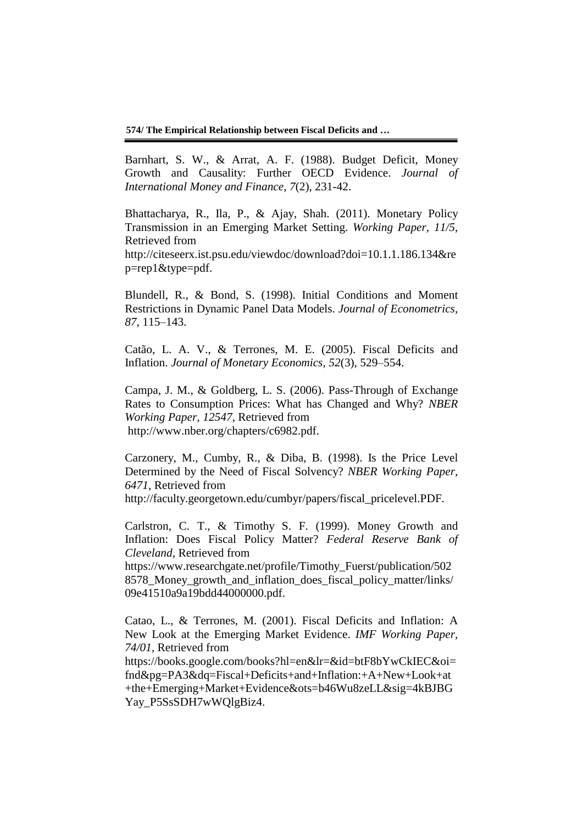**574/ The Empirical Relationship between Fiscal Deficits and …**

Barnhart, S. W., & Arrat, A. F. (1988). Budget Deficit, Money Growth and Causality: Further OECD Evidence. *Journal of International Money and Finance, 7*(2), 231-42.

Bhattacharya, R., Ila, P., & Ajay, Shah. (2011). Monetary Policy Transmission in an Emerging Market Setting. *Working Paper, 11/5*, Retrieved from http://citeseerx.ist.psu.edu/viewdoc/download?doi=10.1.1.186.134&re p=rep1&type=pdf.

Blundell, R., & Bond, S. (1998). Initial Conditions and Moment Restrictions in Dynamic Panel Data Models. *Journal of Econometrics, 87*, 115–143.

Catão, L. A. V., & Terrones, M. E. (2005). Fiscal Deficits and Inflation. *Journal of Monetary Economics, 52*(3), 529–554.

Campa, J. M., & Goldberg, L. S. (2006). Pass-Through of Exchange Rates to Consumption Prices: What has Changed and Why? *NBER Working Paper, 12547*, Retrieved from http://www.nber.org/chapters/c6982.pdf.

Carzonery, M., Cumby, R., & Diba, B. (1998). Is the Price Level Determined by the Need of Fiscal Solvency? *NBER Working Paper, 6471*, Retrieved from http://faculty.georgetown.edu/cumbyr/papers/fiscal\_pricelevel.PDF.

Carlstron, C. T., & Timothy S. F. (1999). Money Growth and Inflation: Does Fiscal Policy Matter? *Federal Reserve Bank of Cleveland*, Retrieved from

https://www.researchgate.net/profile/Timothy\_Fuerst/publication/502 8578\_Money\_growth\_and\_inflation\_does\_fiscal\_policy\_matter/links/ 09e41510a9a19bdd44000000.pdf.

Catao, L., & Terrones, M. (2001). Fiscal Deficits and Inflation: A New Look at the Emerging Market Evidence. *IMF Working Paper, 74/01*, Retrieved from

https://books.google.com/books?hl=en&lr=&id=btF8bYwCkIEC&oi= fnd&pg=PA3&dq=Fiscal+Deficits+and+Inflation:+A+New+Look+at +the+Emerging+Market+Evidence&ots=b46Wu8zeLL&sig=4kBJBG Yay\_P5SsSDH7wWQlgBiz4.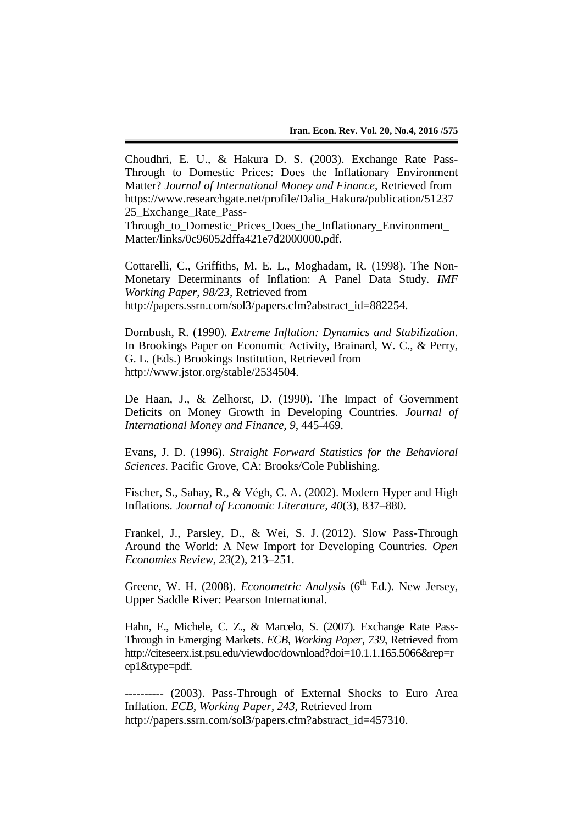Choudhri, E. U., & Hakura D. S. (2003). Exchange Rate Pass-Through to Domestic Prices: Does the Inflationary Environment Matter? *Journal of International Money and Finance*, Retrieved from https://www.researchgate.net/profile/Dalia\_Hakura/publication/51237 25 Exchange Rate Pass-

Through to\_Domestic\_Prices\_Does\_the\_Inflationary\_Environment\_ Matter/links/0c96052dffa421e7d2000000.pdf.

Cottarelli, C., Griffiths, M. E. L., Moghadam, R. (1998). The Non-Monetary Determinants of Inflation: A Panel Data Study. *IMF Working Paper, 98/23*, Retrieved from http://papers.ssrn.com/sol3/papers.cfm?abstract\_id=882254.

Dornbush, R. (1990). *Extreme Inflation: Dynamics and Stabilization*. In Brookings Paper on Economic Activity, Brainard, W. C., & Perry, G. L. (Eds.) Brookings Institution, Retrieved from http://www.jstor.org/stable/2534504.

De Haan, J., & Zelhorst, D. (1990). The Impact of Government Deficits on Money Growth in Developing Countries. *Journal of International Money and Finance, 9*, 445-469.

Evans, J. D. (1996). *Straight Forward Statistics for the Behavioral Sciences*. Pacific Grove, CA: Brooks/Cole Publishing.

Fischer, S., Sahay, R., & Végh, C. A. (2002). Modern Hyper and High Inflations. *Journal of Economic Literature, 40*(3), 837–880.

Frankel, J., Parsley, D., & Wei, S. J. (2012). Slow Pass-Through Around the World: A New Import for Developing Countries. *Open Economies Review, 23*(2), 213–251.

Greene, W. H. (2008). *Econometric Analysis* (6<sup>th</sup> Ed.). New Jersey, Upper Saddle River: Pearson International.

Hahn, E., Michele, C. Z., & Marcelo, S. (2007). Exchange Rate Pass-Through in Emerging Markets. *ECB, Working Paper, 739*, Retrieved from http://citeseerx.ist.psu.edu/viewdoc/download?doi=10.1.1.165.5066&rep=r ep1&type=pdf.

---------- (2003). Pass-Through of External Shocks to Euro Area Inflation. *ECB, Working Paper, 243*, Retrieved from http://papers.ssrn.com/sol3/papers.cfm?abstract\_id=457310.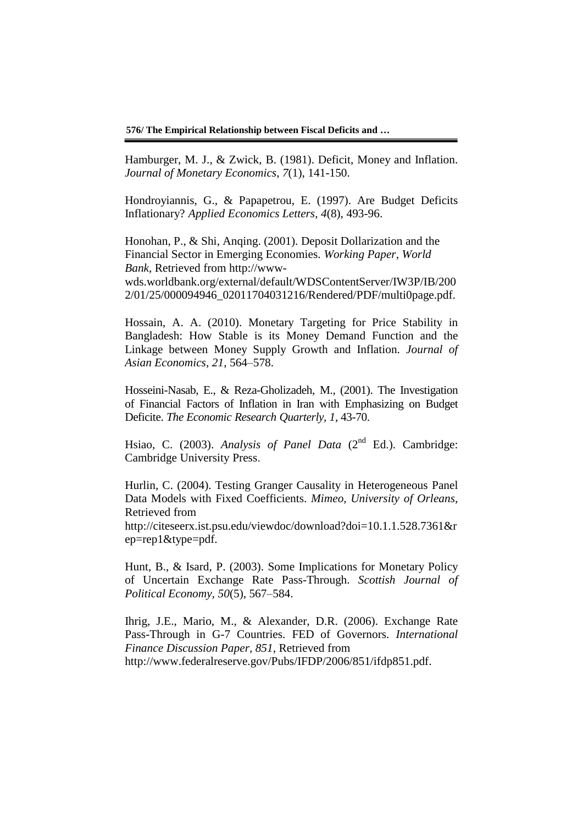**576/ The Empirical Relationship between Fiscal Deficits and …**

Hamburger, M. J., & Zwick, B. (1981). Deficit, Money and Inflation. *Journal of Monetary Economics*, *7*(1), 141-150.

Hondroyiannis, G., & Papapetrou, E. (1997). Are Budget Deficits Inflationary? *Applied Economics Letters, 4*(8), 493-96.

Honohan, P., & Shi, Anqing. (2001). Deposit Dollarization and the Financial Sector in Emerging Economies. *Working Paper, World Bank,* Retrieved from http://www-

wds.worldbank.org/external/default/WDSContentServer/IW3P/IB/200 2/01/25/000094946\_02011704031216/Rendered/PDF/multi0page.pdf.

Hossain, A. A. (2010). Monetary Targeting for Price Stability in Bangladesh: How Stable is its Money Demand Function and the Linkage between Money Supply Growth and Inflation. *Journal of Asian Economics, 21*, 564–578.

Hosseini-Nasab, E., & Reza-Gholizadeh, M., (2001). The Investigation of Financial Factors of Inflation in Iran with Emphasizing on Budget Deficite. *The Economic Research Quarterly, 1*, 43-70.

Hsiao, C. (2003). *Analysis of Panel Data* (2<sup>nd</sup> Ed.). Cambridge: Cambridge University Press.

Hurlin, C. (2004). Testing Granger Causality in Heterogeneous Panel Data Models with Fixed Coefficients. *Mimeo, University of Orleans*, Retrieved from

http://citeseerx.ist.psu.edu/viewdoc/download?doi=10.1.1.528.7361&r ep=rep1&type=pdf.

Hunt, B., & Isard, P. (2003). Some Implications for Monetary Policy of Uncertain Exchange Rate Pass-Through. *Scottish Journal of Political Economy, 50*(5), 567–584.

Ihrig, J.E., Mario, M., & Alexander, D.R. (2006). Exchange Rate Pass-Through in G-7 Countries. FED of Governors. *International Finance Discussion Paper, 851*, Retrieved from http://www.federalreserve.gov/Pubs/IFDP/2006/851/ifdp851.pdf.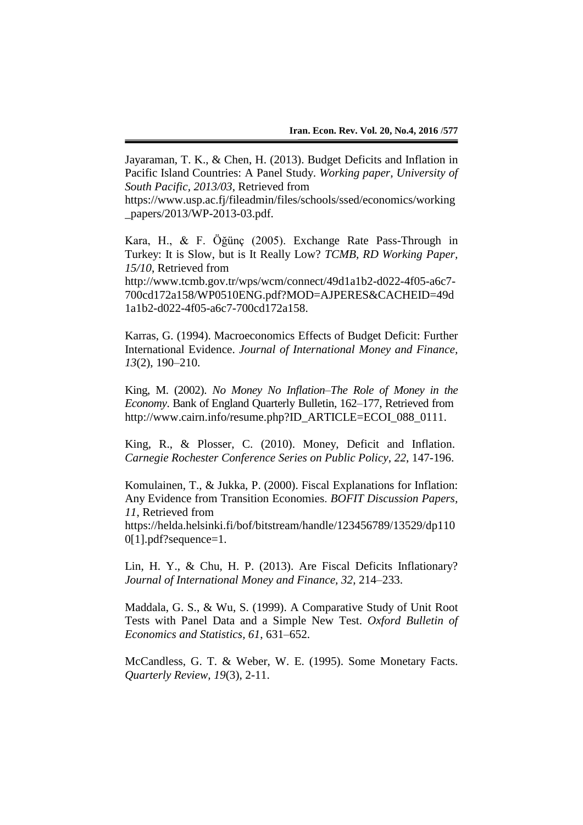Jayaraman, T. K., & Chen, H. (2013). Budget Deficits and Inflation in Pacific Island Countries: A Panel Study. *Working paper, University of South Pacific, 2013/03*, Retrieved from

https://www.usp.ac.fj/fileadmin/files/schools/ssed/economics/working \_papers/2013/WP-2013-03.pdf.

Kara, H., & F. Öğünç (2005). Exchange Rate Pass-Through in Turkey: It is Slow, but is It Really Low? *TCMB, RD Working Paper, 15/10*, Retrieved from

http://www.tcmb.gov.tr/wps/wcm/connect/49d1a1b2-d022-4f05-a6c7- 700cd172a158/WP0510ENG.pdf?MOD=AJPERES&CACHEID=49d 1a1b2-d022-4f05-a6c7-700cd172a158.

Karras, G. (1994). Macroeconomics Effects of Budget Deficit: Further International Evidence. *Journal of International Money and Finance, 13*(2), 190–210.

King, M. (2002). *No Money No Inflation–The Role of Money in the Economy*. Bank of England Quarterly Bulletin, 162–177, Retrieved from http://www.cairn.info/resume.php?ID\_ARTICLE=ECOI\_088\_0111.

King, R., & Plosser, C. (2010). Money, Deficit and Inflation. *Carnegie Rochester Conference Series on Public Policy*, *22*, 147-196.

Komulainen, T., & Jukka, P. (2000). Fiscal Explanations for Inflation: Any Evidence from Transition Economies. *BOFIT Discussion Papers, 11*, Retrieved from

https://helda.helsinki.fi/bof/bitstream/handle/123456789/13529/dp110 0[1].pdf?sequence=1.

Lin, H. Y., & Chu, H. P. (2013). Are Fiscal Deficits Inflationary? *Journal of International Money and Finance, 32*, 214–233.

Maddala, G. S., & Wu, S. (1999). A Comparative Study of Unit Root Tests with Panel Data and a Simple New Test. *Oxford Bulletin of Economics and Statistics, 61*, 631–652.

McCandless, G. T. & Weber, W. E. (1995). Some Monetary Facts. *Quarterly Review, 19*(3), 2-11.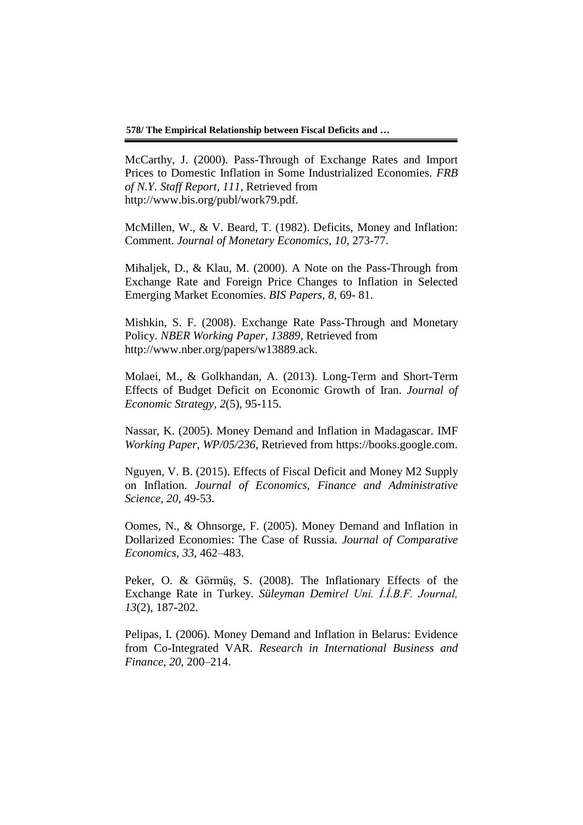**578/ The Empirical Relationship between Fiscal Deficits and …**

McCarthy, J. (2000). Pass-Through of Exchange Rates and Import Prices to Domestic Inflation in Some Industrialized Economies. *FRB of N.Y. Staff Report, 111*, Retrieved from http://www.bis.org/publ/work79.pdf.

McMillen, W., & V. Beard, T. (1982). Deficits, Money and Inflation: Comment. *Journal of Monetary Economics, 10*, 273-77.

Mihaljek, D., & Klau, M. (2000). A Note on the Pass-Through from Exchange Rate and Foreign Price Changes to Inflation in Selected Emerging Market Economies. *BIS Papers, 8*, 69- 81.

Mishkin, S. F. (2008). Exchange Rate Pass-Through and Monetary Policy. *NBER Working Paper, 13889*, Retrieved from http://www.nber.org/papers/w13889.ack.

Molaei, M., & Golkhandan, A. (2013). Long-Term and Short-Term Effects of Budget Deficit on Economic Growth of Iran. *Journal of Economic Strategy, 2*(5), 95-115.

Nassar, K. (2005). Money Demand and Inflation in Madagascar. IMF *Working Paper, WP/05/236*, Retrieved from https://books.google.com.

Nguyen, V. B. (2015). Effects of Fiscal Deficit and Money M2 Supply on Inflation. *Journal of Economics, Finance and Administrative Science, 20*, 49-53.

Oomes, N., & Ohnsorge, F. (2005). Money Demand and Inflation in Dollarized Economies: The Case of Russia. *Journal of Comparative Economics, 33*, 462–483.

Peker, O. & Görmüş, S. (2008). The Inflationary Effects of the Exchange Rate in Turkey. *Süleyman Demirel Uni. İ.İ.B.F. Journal, 13*(2), 187-202.

Pelipas, I. (2006). Money Demand and Inflation in Belarus: Evidence from Co-Integrated VAR. *Research in International Business and Finance, 20*, 200–214.